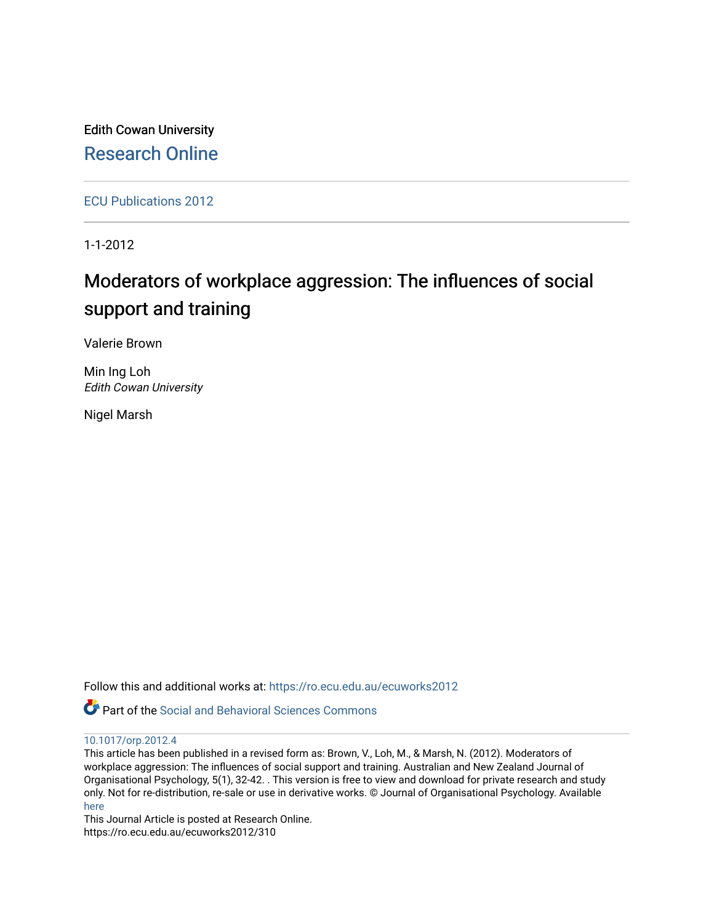Edith Cowan University [Research Online](https://ro.ecu.edu.au/) 

[ECU Publications 2012](https://ro.ecu.edu.au/ecuworks2012)

1-1-2012

# Moderators of workplace aggression: The influences of social support and training

Valerie Brown

Min Ing Loh Edith Cowan University

Nigel Marsh

Follow this and additional works at: [https://ro.ecu.edu.au/ecuworks2012](https://ro.ecu.edu.au/ecuworks2012?utm_source=ro.ecu.edu.au%2Fecuworks2012%2F310&utm_medium=PDF&utm_campaign=PDFCoverPages) 

Part of the [Social and Behavioral Sciences Commons](http://network.bepress.com/hgg/discipline/316?utm_source=ro.ecu.edu.au%2Fecuworks2012%2F310&utm_medium=PDF&utm_campaign=PDFCoverPages) 

### [10.1017/orp.2012.4](http://dx.doi.org/10.1017/orp.2012.4)

This article has been published in a revised form as: Brown, V., Loh, M., & Marsh, N. (2012). Moderators of workplace aggression: The influences of social support and training. Australian and New Zealand Journal of Organisational Psychology, 5(1), 32-42. . This version is free to view and download for private research and study only. Not for re-distribution, re-sale or use in derivative works. © Journal of Organisational Psychology. Available [here](http://dx.doi.org/10.1017/orp.2012.4)

This Journal Article is posted at Research Online. https://ro.ecu.edu.au/ecuworks2012/310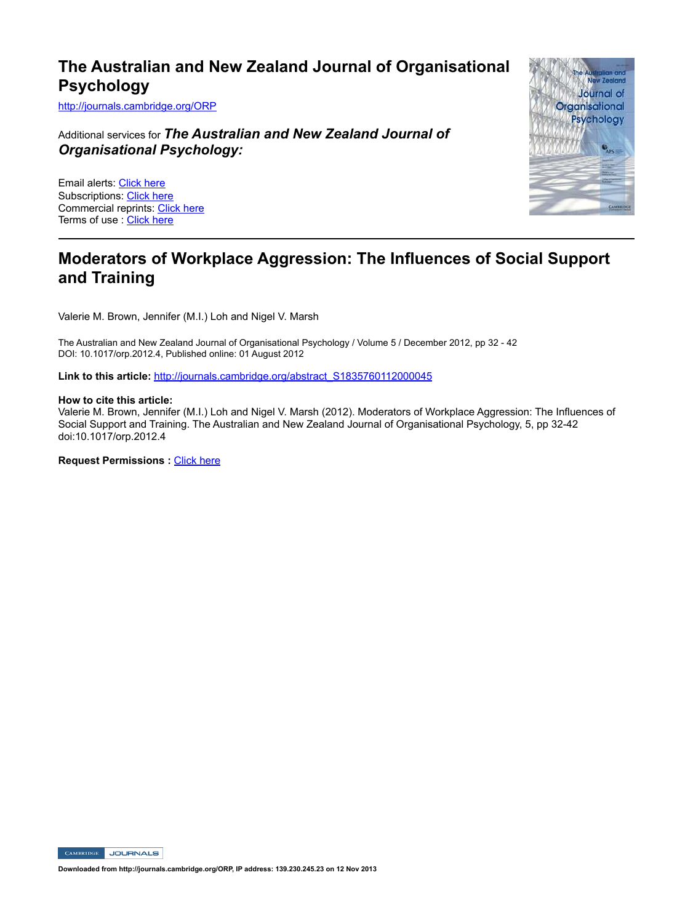## **The Australian and New Zealand Journal of Organisational Psychology**

http://journals.cambridge.org/ORP

Additional services for *The Australian and New Zealand Journal of Organisational Psychology:*

Email alerts: Click here Subscriptions: Click here Commercial reprints: Click here Terms of use : Click here



## **Moderators of Workplace Aggression: The Influences of Social Support and Training**

Valerie M. Brown, Jennifer (M.I.) Loh and Nigel V. Marsh

The Australian and New Zealand Journal of Organisational Psychology / Volume 5 / December 2012, pp 32 - 42 DOI: 10.1017/orp.2012.4, Published online: 01 August 2012

Link to this article: http://journals.cambridge.org/abstract\_S1835760112000045

#### **How to cite this article:**

Valerie M. Brown, Jennifer (M.I.) Loh and Nigel V. Marsh (2012). Moderators of Workplace Aggression: The Influences of Social Support and Training. The Australian and New Zealand Journal of Organisational Psychology, 5, pp 32-42 doi:10.1017/orp.2012.4

**Request Permissions : Click here** 

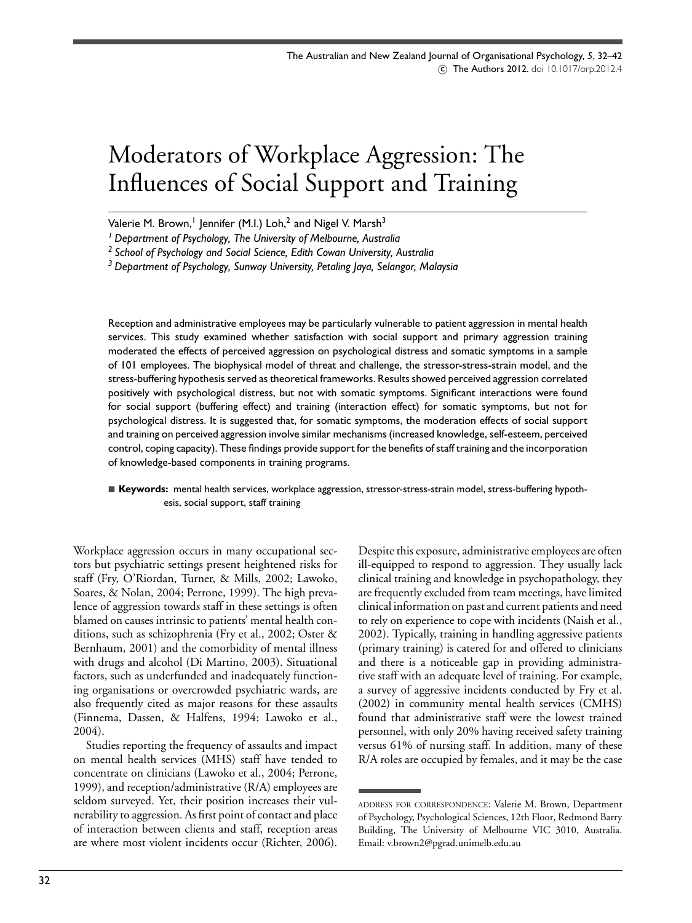# Moderators of Workplace Aggression: The Influences of Social Support and Training

Valerie M. Brown,<sup>1</sup> Jennifer (M.I.) Loh,<sup>2</sup> and Nigel V. Marsh<sup>3</sup>

*<sup>1</sup> Department of Psychology, The University of Melbourne, Australia*

*<sup>2</sup> School of Psychology and Social Science, Edith Cowan University, Australia*

*<sup>3</sup> Department of Psychology, Sunway University, Petaling Jaya, Selangor, Malaysia*

Reception and administrative employees may be particularly vulnerable to patient aggression in mental health services. This study examined whether satisfaction with social support and primary aggression training moderated the effects of perceived aggression on psychological distress and somatic symptoms in a sample of 101 employees. The biophysical model of threat and challenge, the stressor-stress-strain model, and the stress-buffering hypothesis served as theoretical frameworks. Results showed perceived aggression correlated positively with psychological distress, but not with somatic symptoms. Significant interactions were found for social support (buffering effect) and training (interaction effect) for somatic symptoms, but not for psychological distress. It is suggested that, for somatic symptoms, the moderation effects of social support and training on perceived aggression involve similar mechanisms (increased knowledge, self-esteem, perceived control, coping capacity). These findings provide support for the benefits of staff training and the incorporation of knowledge-based components in training programs.

#### - **Keywords:** mental health services, workplace aggression, stressor-stress-strain model, stress-buffering hypothesis, social support, staff training

Workplace aggression occurs in many occupational sectors but psychiatric settings present heightened risks for staff (Fry, O'Riordan, Turner, & Mills, 2002; Lawoko, Soares, & Nolan, 2004; Perrone, 1999). The high prevalence of aggression towards staff in these settings is often blamed on causes intrinsic to patients' mental health conditions, such as schizophrenia (Fry et al., 2002; Oster & Bernhaum, 2001) and the comorbidity of mental illness with drugs and alcohol (Di Martino, 2003). Situational factors, such as underfunded and inadequately functioning organisations or overcrowded psychiatric wards, are also frequently cited as major reasons for these assaults (Finnema, Dassen, & Halfens, 1994; Lawoko et al., 2004).

Studies reporting the frequency of assaults and impact on mental health services (MHS) staff have tended to concentrate on clinicians (Lawoko et al., 2004; Perrone, 1999), and reception/administrative (R/A) employees are seldom surveyed. Yet, their position increases their vulnerability to aggression. As first point of contact and place of interaction between clients and staff, reception areas are where most violent incidents occur (Richter, 2006). Despite this exposure, administrative employees are often ill-equipped to respond to aggression. They usually lack clinical training and knowledge in psychopathology, they are frequently excluded from team meetings, have limited clinical information on past and current patients and need to rely on experience to cope with incidents (Naish et al., 2002). Typically, training in handling aggressive patients (primary training) is catered for and offered to clinicians and there is a noticeable gap in providing administrative staff with an adequate level of training. For example, a survey of aggressive incidents conducted by Fry et al. (2002) in community mental health services (CMHS) found that administrative staff were the lowest trained personnel, with only 20% having received safety training versus 61% of nursing staff. In addition, many of these R/A roles are occupied by females, and it may be the case

ADDRESS FOR CORRESPONDENCE: Valerie M. Brown, Department of Psychology, Psychological Sciences, 12th Floor, Redmond Barry Building, The University of Melbourne VIC 3010, Australia. Email: v.brown2@pgrad.unimelb.edu.au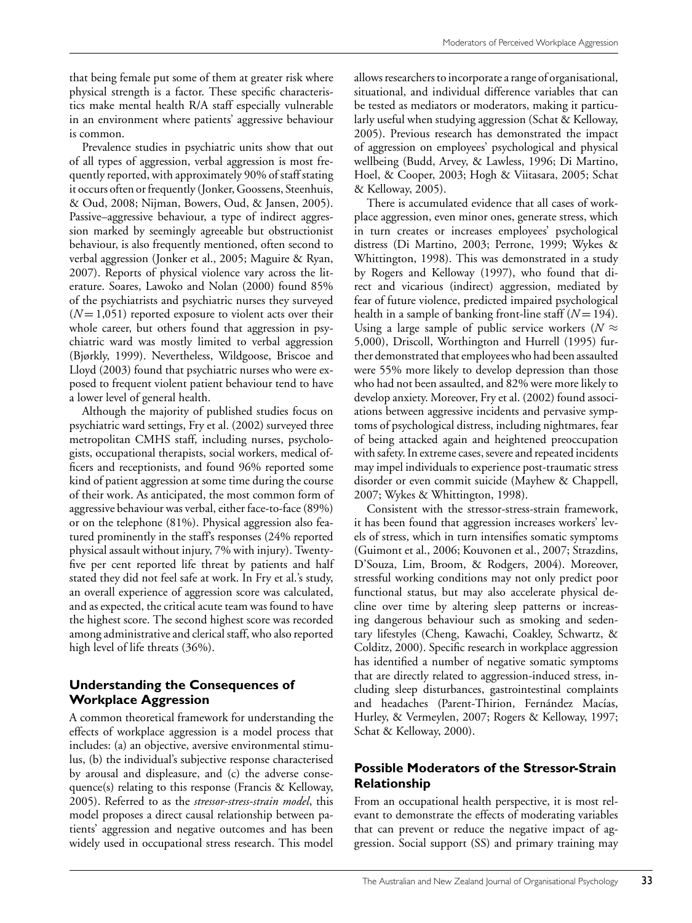that being female put some of them at greater risk where physical strength is a factor. These specific characteristics make mental health R/A staff especially vulnerable in an environment where patients' aggressive behaviour is common.

Prevalence studies in psychiatric units show that out of all types of aggression, verbal aggression is most frequently reported, with approximately 90% of staff stating it occurs often or frequently (Jonker, Goossens, Steenhuis, & Oud, 2008; Nijman, Bowers, Oud, & Jansen, 2005). Passive–aggressive behaviour, a type of indirect aggression marked by seemingly agreeable but obstructionist behaviour, is also frequently mentioned, often second to verbal aggression (Jonker et al., 2005; Maguire & Ryan, 2007). Reports of physical violence vary across the literature. Soares, Lawoko and Nolan (2000) found 85% of the psychiatrists and psychiatric nurses they surveyed  $(N=1,051)$  reported exposure to violent acts over their whole career, but others found that aggression in psychiatric ward was mostly limited to verbal aggression (Bjørkly, 1999). Nevertheless, Wildgoose, Briscoe and Lloyd (2003) found that psychiatric nurses who were exposed to frequent violent patient behaviour tend to have a lower level of general health.

Although the majority of published studies focus on psychiatric ward settings, Fry et al. (2002) surveyed three metropolitan CMHS staff, including nurses, psychologists, occupational therapists, social workers, medical officers and receptionists, and found 96% reported some kind of patient aggression at some time during the course of their work. As anticipated, the most common form of aggressive behaviour was verbal, either face-to-face (89%) or on the telephone (81%). Physical aggression also featured prominently in the staff's responses (24% reported physical assault without injury, 7% with injury). Twentyfive per cent reported life threat by patients and half stated they did not feel safe at work. In Fry et al.'s study, an overall experience of aggression score was calculated, and as expected, the critical acute team was found to have the highest score. The second highest score was recorded among administrative and clerical staff, who also reported high level of life threats (36%).

## **Understanding the Consequences of Workplace Aggression**

A common theoretical framework for understanding the effects of workplace aggression is a model process that includes: (a) an objective, aversive environmental stimulus, (b) the individual's subjective response characterised by arousal and displeasure, and (c) the adverse consequence(s) relating to this response (Francis & Kelloway, 2005). Referred to as the *stressor-stress-strain model*, this model proposes a direct causal relationship between patients' aggression and negative outcomes and has been widely used in occupational stress research. This model

allows researchers to incorporate a range of organisational, situational, and individual difference variables that can be tested as mediators or moderators, making it particularly useful when studying aggression (Schat & Kelloway, 2005). Previous research has demonstrated the impact of aggression on employees' psychological and physical wellbeing (Budd, Arvey, & Lawless, 1996; Di Martino, Hoel, & Cooper, 2003; Hogh & Viitasara, 2005; Schat & Kelloway, 2005).

There is accumulated evidence that all cases of workplace aggression, even minor ones, generate stress, which in turn creates or increases employees' psychological distress (Di Martino, 2003; Perrone, 1999; Wykes & Whittington, 1998). This was demonstrated in a study by Rogers and Kelloway (1997), who found that direct and vicarious (indirect) aggression, mediated by fear of future violence, predicted impaired psychological health in a sample of banking front-line staff  $(N = 194)$ . Using a large sample of public service workers ( $N \approx$ 5,000), Driscoll, Worthington and Hurrell (1995) further demonstrated that employees who had been assaulted were 55% more likely to develop depression than those who had not been assaulted, and 82% were more likely to develop anxiety. Moreover, Fry et al. (2002) found associations between aggressive incidents and pervasive symptoms of psychological distress, including nightmares, fear of being attacked again and heightened preoccupation with safety. In extreme cases, severe and repeated incidents may impel individuals to experience post-traumatic stress disorder or even commit suicide (Mayhew & Chappell, 2007; Wykes & Whittington, 1998).

Consistent with the stressor-stress-strain framework, it has been found that aggression increases workers' levels of stress, which in turn intensifies somatic symptoms (Guimont et al., 2006; Kouvonen et al., 2007; Strazdins, D'Souza, Lim, Broom, & Rodgers, 2004). Moreover, stressful working conditions may not only predict poor functional status, but may also accelerate physical decline over time by altering sleep patterns or increasing dangerous behaviour such as smoking and sedentary lifestyles (Cheng, Kawachi, Coakley, Schwartz, & Colditz, 2000). Specific research in workplace aggression has identified a number of negative somatic symptoms that are directly related to aggression-induced stress, including sleep disturbances, gastrointestinal complaints and headaches (Parent-Thirion, Fernández Macías, Hurley, & Vermeylen, 2007; Rogers & Kelloway, 1997; Schat & Kelloway, 2000).

## **Possible Moderators of the Stressor-Strain Relationship**

From an occupational health perspective, it is most relevant to demonstrate the effects of moderating variables that can prevent or reduce the negative impact of aggression. Social support (SS) and primary training may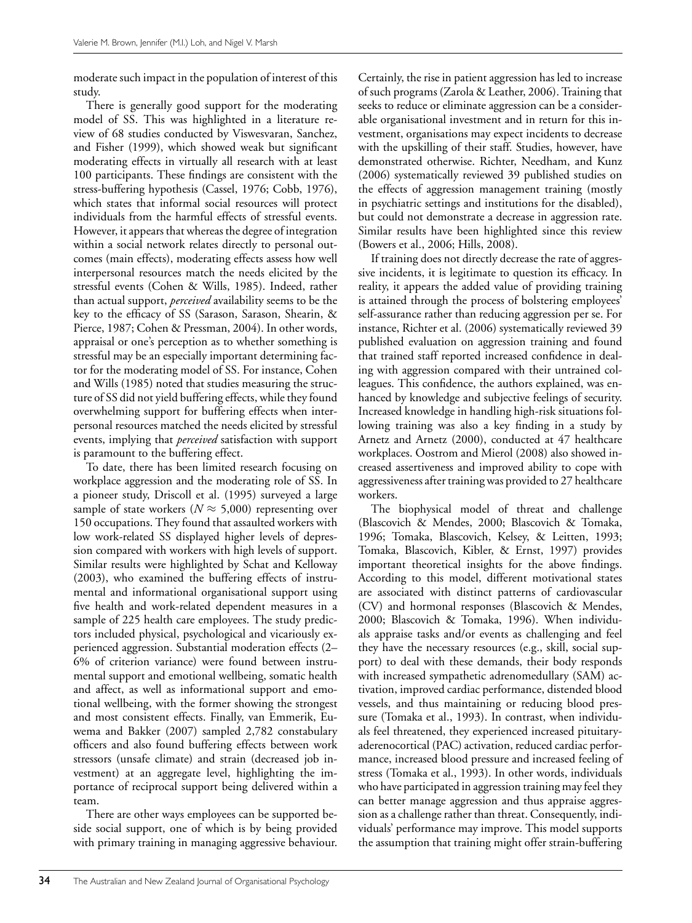moderate such impact in the population of interest of this study.

There is generally good support for the moderating model of SS. This was highlighted in a literature review of 68 studies conducted by Viswesvaran, Sanchez, and Fisher (1999), which showed weak but significant moderating effects in virtually all research with at least 100 participants. These findings are consistent with the stress-buffering hypothesis (Cassel, 1976; Cobb, 1976), which states that informal social resources will protect individuals from the harmful effects of stressful events. However, it appears that whereas the degree of integration within a social network relates directly to personal outcomes (main effects), moderating effects assess how well interpersonal resources match the needs elicited by the stressful events (Cohen & Wills, 1985). Indeed, rather than actual support, *perceived* availability seems to be the key to the efficacy of SS (Sarason, Sarason, Shearin, & Pierce, 1987; Cohen & Pressman, 2004). In other words, appraisal or one's perception as to whether something is stressful may be an especially important determining factor for the moderating model of SS. For instance, Cohen and Wills (1985) noted that studies measuring the structure of SS did not yield buffering effects, while they found overwhelming support for buffering effects when interpersonal resources matched the needs elicited by stressful events, implying that *perceived* satisfaction with support is paramount to the buffering effect.

To date, there has been limited research focusing on workplace aggression and the moderating role of SS. In a pioneer study, Driscoll et al. (1995) surveyed a large sample of state workers ( $N \approx 5,000$ ) representing over 150 occupations. They found that assaulted workers with low work-related SS displayed higher levels of depression compared with workers with high levels of support. Similar results were highlighted by Schat and Kelloway (2003), who examined the buffering effects of instrumental and informational organisational support using five health and work-related dependent measures in a sample of 225 health care employees. The study predictors included physical, psychological and vicariously experienced aggression. Substantial moderation effects (2– 6% of criterion variance) were found between instrumental support and emotional wellbeing, somatic health and affect, as well as informational support and emotional wellbeing, with the former showing the strongest and most consistent effects. Finally, van Emmerik, Euwema and Bakker (2007) sampled 2,782 constabulary officers and also found buffering effects between work stressors (unsafe climate) and strain (decreased job investment) at an aggregate level, highlighting the importance of reciprocal support being delivered within a team.

There are other ways employees can be supported beside social support, one of which is by being provided with primary training in managing aggressive behaviour. Certainly, the rise in patient aggression has led to increase of such programs (Zarola & Leather, 2006). Training that seeks to reduce or eliminate aggression can be a considerable organisational investment and in return for this investment, organisations may expect incidents to decrease with the upskilling of their staff. Studies, however, have demonstrated otherwise. Richter, Needham, and Kunz (2006) systematically reviewed 39 published studies on the effects of aggression management training (mostly in psychiatric settings and institutions for the disabled), but could not demonstrate a decrease in aggression rate. Similar results have been highlighted since this review (Bowers et al., 2006; Hills, 2008).

If training does not directly decrease the rate of aggressive incidents, it is legitimate to question its efficacy. In reality, it appears the added value of providing training is attained through the process of bolstering employees' self-assurance rather than reducing aggression per se. For instance, Richter et al. (2006) systematically reviewed 39 published evaluation on aggression training and found that trained staff reported increased confidence in dealing with aggression compared with their untrained colleagues. This confidence, the authors explained, was enhanced by knowledge and subjective feelings of security. Increased knowledge in handling high-risk situations following training was also a key finding in a study by Arnetz and Arnetz (2000), conducted at 47 healthcare workplaces. Oostrom and Mierol (2008) also showed increased assertiveness and improved ability to cope with aggressiveness after training was provided to 27 healthcare workers.

The biophysical model of threat and challenge (Blascovich & Mendes, 2000; Blascovich & Tomaka, 1996; Tomaka, Blascovich, Kelsey, & Leitten, 1993; Tomaka, Blascovich, Kibler, & Ernst, 1997) provides important theoretical insights for the above findings. According to this model, different motivational states are associated with distinct patterns of cardiovascular (CV) and hormonal responses (Blascovich & Mendes, 2000; Blascovich & Tomaka, 1996). When individuals appraise tasks and/or events as challenging and feel they have the necessary resources (e.g., skill, social support) to deal with these demands, their body responds with increased sympathetic adrenomedullary (SAM) activation, improved cardiac performance, distended blood vessels, and thus maintaining or reducing blood pressure (Tomaka et al., 1993). In contrast, when individuals feel threatened, they experienced increased pituitaryaderenocortical (PAC) activation, reduced cardiac performance, increased blood pressure and increased feeling of stress (Tomaka et al., 1993). In other words, individuals who have participated in aggression training may feel they can better manage aggression and thus appraise aggression as a challenge rather than threat. Consequently, individuals' performance may improve. This model supports the assumption that training might offer strain-buffering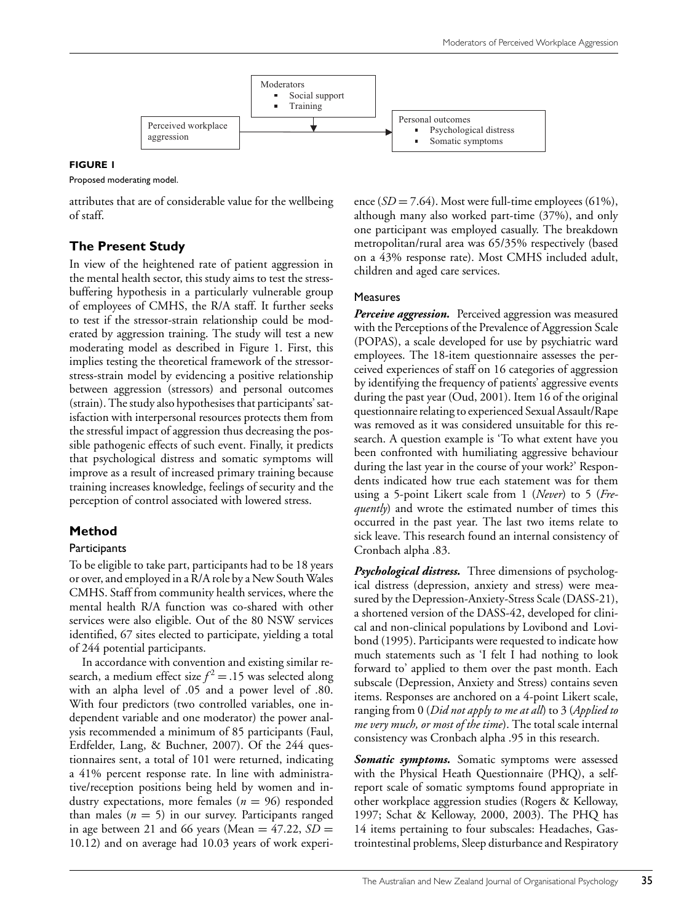

#### **FIGURE 1**

Proposed moderating model.

attributes that are of considerable value for the wellbeing of staff.

## **The Present Study**

In view of the heightened rate of patient aggression in the mental health sector, this study aims to test the stressbuffering hypothesis in a particularly vulnerable group of employees of CMHS, the R/A staff. It further seeks to test if the stressor-strain relationship could be moderated by aggression training. The study will test a new moderating model as described in Figure 1. First, this implies testing the theoretical framework of the stressorstress-strain model by evidencing a positive relationship between aggression (stressors) and personal outcomes (strain). The study also hypothesises that participants' satisfaction with interpersonal resources protects them from the stressful impact of aggression thus decreasing the possible pathogenic effects of such event. Finally, it predicts that psychological distress and somatic symptoms will improve as a result of increased primary training because training increases knowledge, feelings of security and the perception of control associated with lowered stress.

## **Method**

#### **Participants**

To be eligible to take part, participants had to be 18 years or over, and employed in a R/A role by a New South Wales CMHS. Staff from community health services, where the mental health R/A function was co-shared with other services were also eligible. Out of the 80 NSW services identified, 67 sites elected to participate, yielding a total of 244 potential participants.

In accordance with convention and existing similar research, a medium effect size  $f^2 = .15$  was selected along with an alpha level of .05 and a power level of .80. With four predictors (two controlled variables, one independent variable and one moderator) the power analysis recommended a minimum of 85 participants (Faul, Erdfelder, Lang, & Buchner, 2007). Of the 244 questionnaires sent, a total of 101 were returned, indicating a 41% percent response rate. In line with administrative/reception positions being held by women and industry expectations, more females  $(n = 96)$  responded than males  $(n = 5)$  in our survey. Participants ranged in age between 21 and 66 years (Mean  $= 47.22$ , *SD*  $=$ 10.12) and on average had 10.03 years of work experience  $(SD = 7.64)$ . Most were full-time employees  $(61\%)$ , although many also worked part-time (37%), and only one participant was employed casually. The breakdown metropolitan/rural area was 65/35% respectively (based on a 43% response rate). Most CMHS included adult, children and aged care services.

#### Measures

*Perceive aggression.* Perceived aggression was measured with the Perceptions of the Prevalence of Aggression Scale (POPAS), a scale developed for use by psychiatric ward employees. The 18-item questionnaire assesses the perceived experiences of staff on 16 categories of aggression by identifying the frequency of patients' aggressive events during the past year (Oud, 2001). Item 16 of the original questionnaire relating to experienced Sexual Assault/Rape was removed as it was considered unsuitable for this research. A question example is 'To what extent have you been confronted with humiliating aggressive behaviour during the last year in the course of your work?' Respondents indicated how true each statement was for them using a 5-point Likert scale from 1 (*Never*) to 5 (*Frequently*) and wrote the estimated number of times this occurred in the past year. The last two items relate to sick leave. This research found an internal consistency of Cronbach alpha .83.

*Psychological distress.* Three dimensions of psychological distress (depression, anxiety and stress) were measured by the Depression-Anxiety-Stress Scale (DASS-21), a shortened version of the DASS-42, developed for clinical and non-clinical populations by Lovibond and Lovibond (1995). Participants were requested to indicate how much statements such as 'I felt I had nothing to look forward to' applied to them over the past month. Each subscale (Depression, Anxiety and Stress) contains seven items. Responses are anchored on a 4-point Likert scale, ranging from 0 (*Did not apply to me at all*) to 3 (*Applied to me very much, or most of the time*). The total scale internal consistency was Cronbach alpha .95 in this research.

Somatic symptoms. Somatic symptoms were assessed with the Physical Heath Questionnaire (PHQ), a selfreport scale of somatic symptoms found appropriate in other workplace aggression studies (Rogers & Kelloway, 1997; Schat & Kelloway, 2000, 2003). The PHQ has 14 items pertaining to four subscales: Headaches, Gastrointestinal problems, Sleep disturbance and Respiratory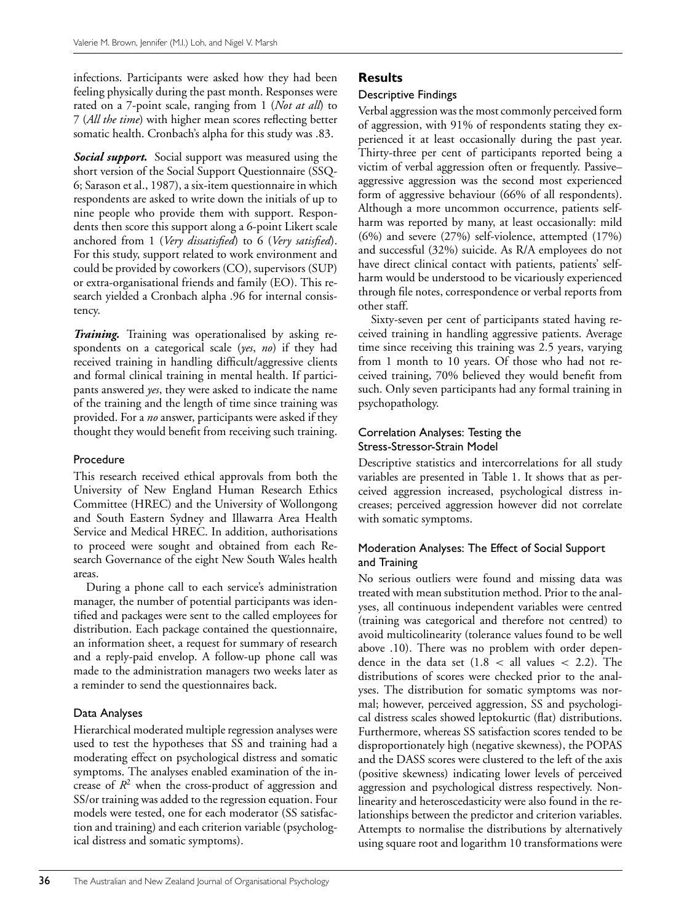infections. Participants were asked how they had been feeling physically during the past month. Responses were rated on a 7-point scale, ranging from 1 (*Not at all*) to 7 (*All the time*) with higher mean scores reflecting better somatic health. Cronbach's alpha for this study was .83.

*Social support.* Social support was measured using the short version of the Social Support Questionnaire (SSQ-6; Sarason et al., 1987), a six-item questionnaire in which respondents are asked to write down the initials of up to nine people who provide them with support. Respondents then score this support along a 6-point Likert scale anchored from 1 (*Very dissatisfied*) to 6 (*Very satisfied*). For this study, support related to work environment and could be provided by coworkers (CO), supervisors (SUP) or extra-organisational friends and family (EO). This research yielded a Cronbach alpha .96 for internal consistency.

*Training.* Training was operationalised by asking respondents on a categorical scale (*yes*, *no*) if they had received training in handling difficult/aggressive clients and formal clinical training in mental health. If participants answered *yes*, they were asked to indicate the name of the training and the length of time since training was provided. For a *no* answer, participants were asked if they thought they would benefit from receiving such training.

## Procedure

This research received ethical approvals from both the University of New England Human Research Ethics Committee (HREC) and the University of Wollongong and South Eastern Sydney and Illawarra Area Health Service and Medical HREC. In addition, authorisations to proceed were sought and obtained from each Research Governance of the eight New South Wales health areas.

During a phone call to each service's administration manager, the number of potential participants was identified and packages were sent to the called employees for distribution. Each package contained the questionnaire, an information sheet, a request for summary of research and a reply-paid envelop. A follow-up phone call was made to the administration managers two weeks later as a reminder to send the questionnaires back.

## Data Analyses

Hierarchical moderated multiple regression analyses were used to test the hypotheses that SS and training had a moderating effect on psychological distress and somatic symptoms. The analyses enabled examination of the increase of  $R^2$  when the cross-product of aggression and SS/or training was added to the regression equation. Four models were tested, one for each moderator (SS satisfaction and training) and each criterion variable (psychological distress and somatic symptoms).

## **Results**

## Descriptive Findings

Verbal aggression was the most commonly perceived form of aggression, with 91% of respondents stating they experienced it at least occasionally during the past year. Thirty-three per cent of participants reported being a victim of verbal aggression often or frequently. Passive– aggressive aggression was the second most experienced form of aggressive behaviour (66% of all respondents). Although a more uncommon occurrence, patients selfharm was reported by many, at least occasionally: mild (6%) and severe (27%) self-violence, attempted (17%) and successful (32%) suicide. As R/A employees do not have direct clinical contact with patients, patients' selfharm would be understood to be vicariously experienced through file notes, correspondence or verbal reports from other staff.

Sixty-seven per cent of participants stated having received training in handling aggressive patients. Average time since receiving this training was 2.5 years, varying from 1 month to 10 years. Of those who had not received training, 70% believed they would benefit from such. Only seven participants had any formal training in psychopathology.

## Correlation Analyses: Testing the Stress-Stressor-Strain Model

Descriptive statistics and intercorrelations for all study variables are presented in Table 1. It shows that as perceived aggression increased, psychological distress increases; perceived aggression however did not correlate with somatic symptoms.

## Moderation Analyses: The Effect of Social Support and Training

No serious outliers were found and missing data was treated with mean substitution method. Prior to the analyses, all continuous independent variables were centred (training was categorical and therefore not centred) to avoid multicolinearity (tolerance values found to be well above .10). There was no problem with order dependence in the data set  $(1.8 <$  all values  $<$  2.2). The distributions of scores were checked prior to the analyses. The distribution for somatic symptoms was normal; however, perceived aggression, SS and psychological distress scales showed leptokurtic (flat) distributions. Furthermore, whereas SS satisfaction scores tended to be disproportionately high (negative skewness), the POPAS and the DASS scores were clustered to the left of the axis (positive skewness) indicating lower levels of perceived aggression and psychological distress respectively. Nonlinearity and heteroscedasticity were also found in the relationships between the predictor and criterion variables. Attempts to normalise the distributions by alternatively using square root and logarithm 10 transformations were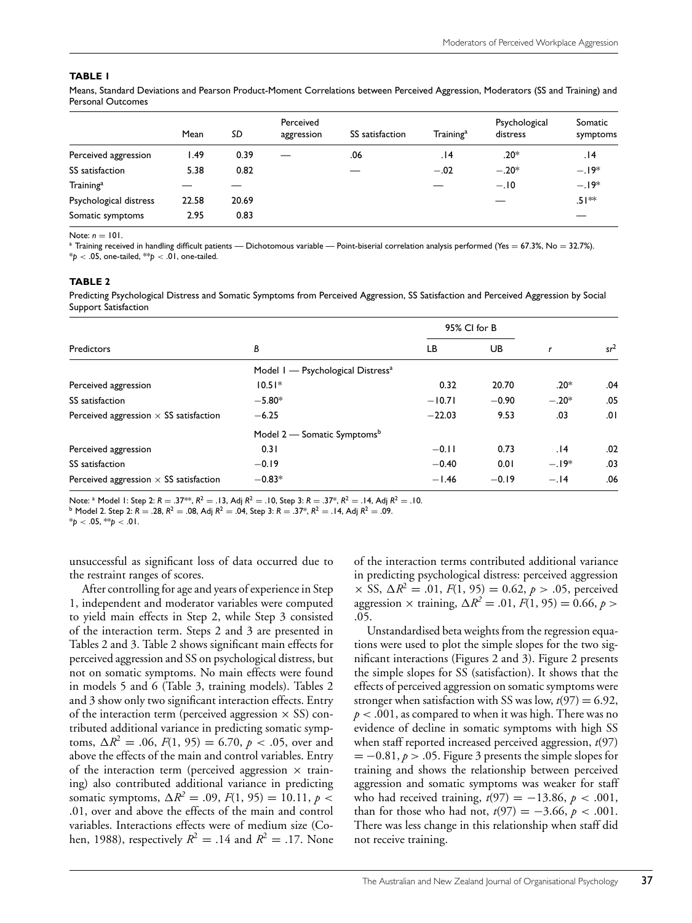#### **TABLE 1**

Means, Standard Deviations and Pearson Product-Moment Correlations between Perceived Aggression, Moderators (SS and Training) and Personal Outcomes

|                        | Mean  | SD    | Perceived<br>aggression | SS satisfaction | Training <sup>a</sup> | Psychological<br>distress | Somatic<br>symptoms |
|------------------------|-------|-------|-------------------------|-----------------|-----------------------|---------------------------|---------------------|
| Perceived aggression   | l.49  | 0.39  |                         | .06             | 14.                   | $.20*$                    | 14.                 |
| SS satisfaction        | 5.38  | 0.82  |                         |                 | $-.02$                | $-.20*$                   | $-.19*$             |
| Training <sup>a</sup>  |       |       |                         |                 |                       | $-.10$                    | $-.19*$             |
| Psychological distress | 22.58 | 20.69 |                         |                 |                       |                           | $.51**$             |
| Somatic symptoms       | 2.95  | 0.83  |                         |                 |                       |                           |                     |

Note: *n* = 101.<br><sup>a</sup> Training received in handling difficult patients — Dichotomous variable — Point-biserial correlation analysis performed (Yes = 67.3%, No = 32.7%).  $*$ *p* < .05, one-tailed,  $*$ *p* < .01, one-tailed.

#### **TABLE 2**

Predicting Psychological Distress and Somatic Symptoms from Perceived Aggression, SS Satisfaction and Perceived Aggression by Social Support Satisfaction

|                                               |                                               | 95% CI for B |         |         | $sr^2$ |
|-----------------------------------------------|-----------------------------------------------|--------------|---------|---------|--------|
| Predictors                                    | В                                             | LB<br>UB     |         |         |        |
|                                               | Model 1 - Psychological Distress <sup>a</sup> |              |         |         |        |
| Perceived aggression                          | $10.51*$                                      | 0.32         | 20.70   | $.20*$  | .04    |
| SS satisfaction                               | $-5.80*$                                      | $-10.71$     | $-0.90$ | $-.20*$ | .05    |
| Perceived aggression $\times$ SS satisfaction | $-6.25$                                       | $-22.03$     | 9.53    | .03     | 0۱.    |
|                                               | Model 2 – Somatic Symptoms <sup>b</sup>       |              |         |         |        |
| Perceived aggression                          | 0.31                                          | $-0.11$      | 0.73    | 14.     | .02    |
| SS satisfaction                               | $-0.19$                                       | $-0.40$      | 0.01    | $-.19*$ | .03    |
| Perceived aggression $\times$ SS satisfaction | $-0.83*$                                      | $-1.46$      | $-0.19$ | $-.14$  | .06    |

Note:  $^a$  Model 1: Step 2:  $R = .37^{**}$ ,  $R^2 = .13$ , Adj  $R^2 = .10$ , Step 3:  $R = .37^*$ ,  $R^2 = .14$ , Adj  $R^2 = .10$ .<br>  $^b$  Model 2. Step 2:  $R = .28$ ,  $R^2 = .08$ , Adj  $R^2 = .04$ , Step 3:  $R = .37^*$ ,  $R^2 = .14$ , Adj  $R^2 = .09$ .

 $*$ *p* < .05,  $*$ <sup>\*</sup>*p* < .01.

unsuccessful as significant loss of data occurred due to the restraint ranges of scores.

After controlling for age and years of experience in Step 1, independent and moderator variables were computed to yield main effects in Step 2, while Step 3 consisted of the interaction term. Steps 2 and 3 are presented in Tables 2 and 3. Table 2 shows significant main effects for perceived aggression and SS on psychological distress, but not on somatic symptoms. No main effects were found in models 5 and 6 (Table 3, training models). Tables 2 and 3 show only two significant interaction effects. Entry of the interaction term (perceived aggression  $\times$  SS) contributed additional variance in predicting somatic symptoms,  $\Delta R^2 = .06$ ,  $F(1, 95) = 6.70$ ,  $p < .05$ , over and above the effects of the main and control variables. Entry of the interaction term (perceived aggression  $\times$  training) also contributed additional variance in predicting somatic symptoms,  $\Delta R^2 = .09$ ,  $F(1, 95) = 10.11$ ,  $p <$ .01, over and above the effects of the main and control variables. Interactions effects were of medium size (Cohen, 1988), respectively  $R^2 = .14$  and  $R^2 = .17$ . None of the interaction terms contributed additional variance in predicting psychological distress: perceived aggression  $\times$  SS,  $\Delta R^2 = .01$ ,  $F(1, 95) = 0.62$ ,  $p > .05$ , perceived aggression  $\times$  training,  $\Delta R^2 = .01$ ,  $F(1, 95) = 0.66$ ,  $p >$ .05.

Unstandardised beta weights from the regression equations were used to plot the simple slopes for the two significant interactions (Figures 2 and 3). Figure 2 presents the simple slopes for SS (satisfaction). It shows that the effects of perceived aggression on somatic symptoms were stronger when satisfaction with SS was low,  $t(97) = 6.92$ , *p* < .001, as compared to when it was high. There was no evidence of decline in somatic symptoms with high SS when staff reported increased perceived aggression, *t*(97)  $= -0.81, p > .05$ . Figure 3 presents the simple slopes for training and shows the relationship between perceived aggression and somatic symptoms was weaker for staff who had received training,  $t(97) = -13.86$ ,  $p < .001$ , than for those who had not,  $t(97) = -3.66$ ,  $p < .001$ . There was less change in this relationship when staff did not receive training.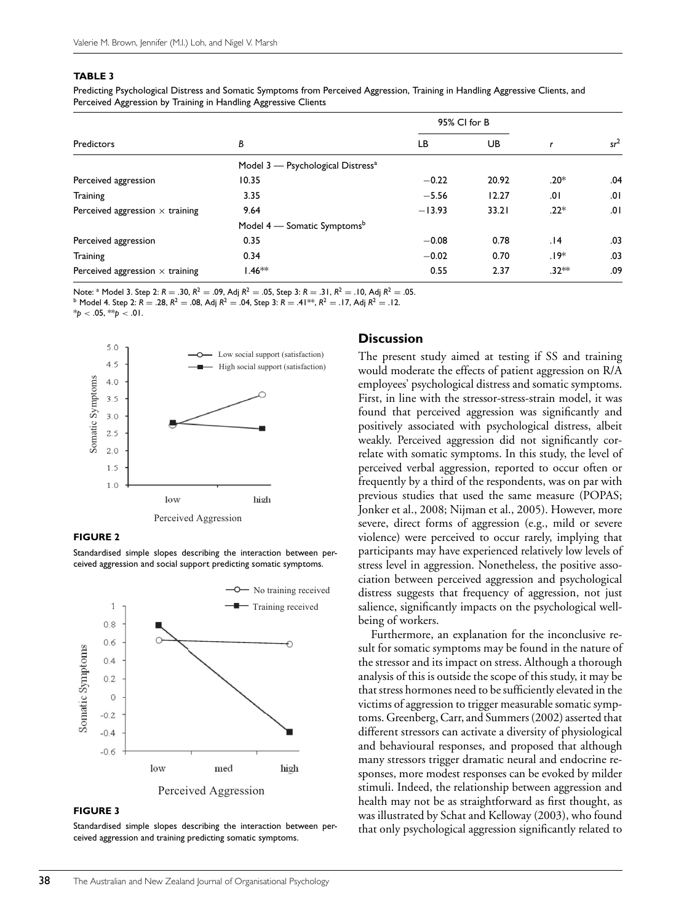#### **TABLE 3**

Predicting Psychological Distress and Somatic Symptoms from Perceived Aggression, Training in Handling Aggressive Clients, and Perceived Aggression by Training in Handling Aggressive Clients

|                                        |                                               | 95% CI for B |       |         |        |
|----------------------------------------|-----------------------------------------------|--------------|-------|---------|--------|
| Predictors                             | В                                             | LВ           | UB.   |         | $sr^2$ |
|                                        | Model 3 - Psychological Distress <sup>a</sup> |              |       |         |        |
| Perceived aggression                   | 10.35                                         | $-0.22$      | 20.92 | .20*    | .04    |
| Training                               | 3.35                                          | $-5.56$      | 12.27 | .01     | .01    |
| Perceived aggression $\times$ training | 9.64                                          | $-13.93$     | 33.21 | $.22*$  | .01    |
|                                        | Model 4 – Somatic Symptoms <sup>b</sup>       |              |       |         |        |
| Perceived aggression                   | 0.35                                          | $-0.08$      | 0.78  | .14     | .03    |
| <b>Training</b>                        | 0.34                                          | $-0.02$      | 0.70  | .19*    | .03    |
| Perceived aggression $\times$ training | $1.46**$                                      | 0.55         | 2.37  | $.32**$ | .09    |

Note: <sup>a</sup> Model 3. Step 2:  $R = .30$ ,  $R^2 = .09$ , Adj  $R^2 = .05$ , Step 3:  $R = .31$ ,  $R^2 = .10$ , Adj  $R^2 = .05$ .<br><sup>b</sup> Model 4. Step 2:  $R = .28$ ,  $R^2 = .08$ , Adj  $R^2 = .04$ , Step 3:  $R = .41**$ ,  $R^2 = .17$ , Adj  $R^2 = .12$ .

 $*_{p}$  < .05,  $*_{p}$  < .01.



#### **FIGURE 2**

Standardised simple slopes describing the interaction between perceived aggression and social support predicting somatic symptoms.



#### **FIGURE 3**

Standardised simple slopes describing the interaction between perceived aggression and training predicting somatic symptoms.

#### **Discussion**

The present study aimed at testing if SS and training would moderate the effects of patient aggression on R/A employees' psychological distress and somatic symptoms. First, in line with the stressor-stress-strain model, it was found that perceived aggression was significantly and positively associated with psychological distress, albeit weakly. Perceived aggression did not significantly correlate with somatic symptoms. In this study, the level of perceived verbal aggression, reported to occur often or frequently by a third of the respondents, was on par with previous studies that used the same measure (POPAS; Jonker et al., 2008; Nijman et al., 2005). However, more severe, direct forms of aggression (e.g., mild or severe violence) were perceived to occur rarely, implying that participants may have experienced relatively low levels of stress level in aggression. Nonetheless, the positive association between perceived aggression and psychological distress suggests that frequency of aggression, not just salience, significantly impacts on the psychological wellbeing of workers.

Furthermore, an explanation for the inconclusive result for somatic symptoms may be found in the nature of the stressor and its impact on stress. Although a thorough analysis of this is outside the scope of this study, it may be that stress hormones need to be sufficiently elevated in the victims of aggression to trigger measurable somatic symptoms. Greenberg, Carr, and Summers (2002) asserted that different stressors can activate a diversity of physiological and behavioural responses, and proposed that although many stressors trigger dramatic neural and endocrine responses, more modest responses can be evoked by milder stimuli. Indeed, the relationship between aggression and health may not be as straightforward as first thought, as was illustrated by Schat and Kelloway (2003), who found that only psychological aggression significantly related to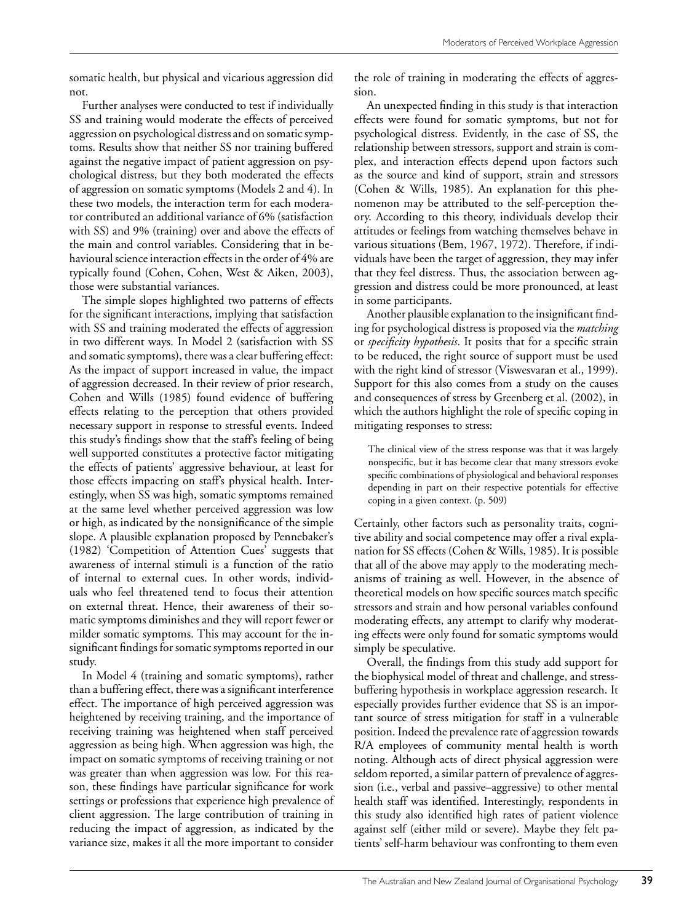somatic health, but physical and vicarious aggression did not.

Further analyses were conducted to test if individually SS and training would moderate the effects of perceived aggression on psychological distress and on somatic symptoms. Results show that neither SS nor training buffered against the negative impact of patient aggression on psychological distress, but they both moderated the effects of aggression on somatic symptoms (Models 2 and 4). In these two models, the interaction term for each moderator contributed an additional variance of 6% (satisfaction with SS) and 9% (training) over and above the effects of the main and control variables. Considering that in behavioural science interaction effects in the order of 4% are typically found (Cohen, Cohen, West & Aiken, 2003), those were substantial variances.

The simple slopes highlighted two patterns of effects for the significant interactions, implying that satisfaction with SS and training moderated the effects of aggression in two different ways. In Model 2 (satisfaction with SS and somatic symptoms), there was a clear buffering effect: As the impact of support increased in value, the impact of aggression decreased. In their review of prior research, Cohen and Wills (1985) found evidence of buffering effects relating to the perception that others provided necessary support in response to stressful events. Indeed this study's findings show that the staff's feeling of being well supported constitutes a protective factor mitigating the effects of patients' aggressive behaviour, at least for those effects impacting on staff's physical health. Interestingly, when SS was high, somatic symptoms remained at the same level whether perceived aggression was low or high, as indicated by the nonsignificance of the simple slope. A plausible explanation proposed by Pennebaker's (1982) 'Competition of Attention Cues' suggests that awareness of internal stimuli is a function of the ratio of internal to external cues. In other words, individuals who feel threatened tend to focus their attention on external threat. Hence, their awareness of their somatic symptoms diminishes and they will report fewer or milder somatic symptoms. This may account for the insignificant findings for somatic symptoms reported in our study.

In Model 4 (training and somatic symptoms), rather than a buffering effect, there was a significant interference effect. The importance of high perceived aggression was heightened by receiving training, and the importance of receiving training was heightened when staff perceived aggression as being high. When aggression was high, the impact on somatic symptoms of receiving training or not was greater than when aggression was low. For this reason, these findings have particular significance for work settings or professions that experience high prevalence of client aggression. The large contribution of training in reducing the impact of aggression, as indicated by the variance size, makes it all the more important to consider

the role of training in moderating the effects of aggression.

An unexpected finding in this study is that interaction effects were found for somatic symptoms, but not for psychological distress. Evidently, in the case of SS, the relationship between stressors, support and strain is complex, and interaction effects depend upon factors such as the source and kind of support, strain and stressors (Cohen & Wills, 1985). An explanation for this phenomenon may be attributed to the self-perception theory. According to this theory, individuals develop their attitudes or feelings from watching themselves behave in various situations (Bem, 1967, 1972). Therefore, if individuals have been the target of aggression, they may infer that they feel distress. Thus, the association between aggression and distress could be more pronounced, at least in some participants.

Another plausible explanation to the insignificant finding for psychological distress is proposed via the *matching* or *specificity hypothesis*. It posits that for a specific strain to be reduced, the right source of support must be used with the right kind of stressor (Viswesvaran et al., 1999). Support for this also comes from a study on the causes and consequences of stress by Greenberg et al. (2002), in which the authors highlight the role of specific coping in mitigating responses to stress:

The clinical view of the stress response was that it was largely nonspecific, but it has become clear that many stressors evoke specific combinations of physiological and behavioral responses depending in part on their respective potentials for effective coping in a given context. (p. 509)

Certainly, other factors such as personality traits, cognitive ability and social competence may offer a rival explanation for SS effects (Cohen & Wills, 1985). It is possible that all of the above may apply to the moderating mechanisms of training as well. However, in the absence of theoretical models on how specific sources match specific stressors and strain and how personal variables confound moderating effects, any attempt to clarify why moderating effects were only found for somatic symptoms would simply be speculative.

Overall, the findings from this study add support for the biophysical model of threat and challenge, and stressbuffering hypothesis in workplace aggression research. It especially provides further evidence that SS is an important source of stress mitigation for staff in a vulnerable position. Indeed the prevalence rate of aggression towards R/A employees of community mental health is worth noting. Although acts of direct physical aggression were seldom reported, a similar pattern of prevalence of aggression (i.e., verbal and passive–aggressive) to other mental health staff was identified. Interestingly, respondents in this study also identified high rates of patient violence against self (either mild or severe). Maybe they felt patients' self-harm behaviour was confronting to them even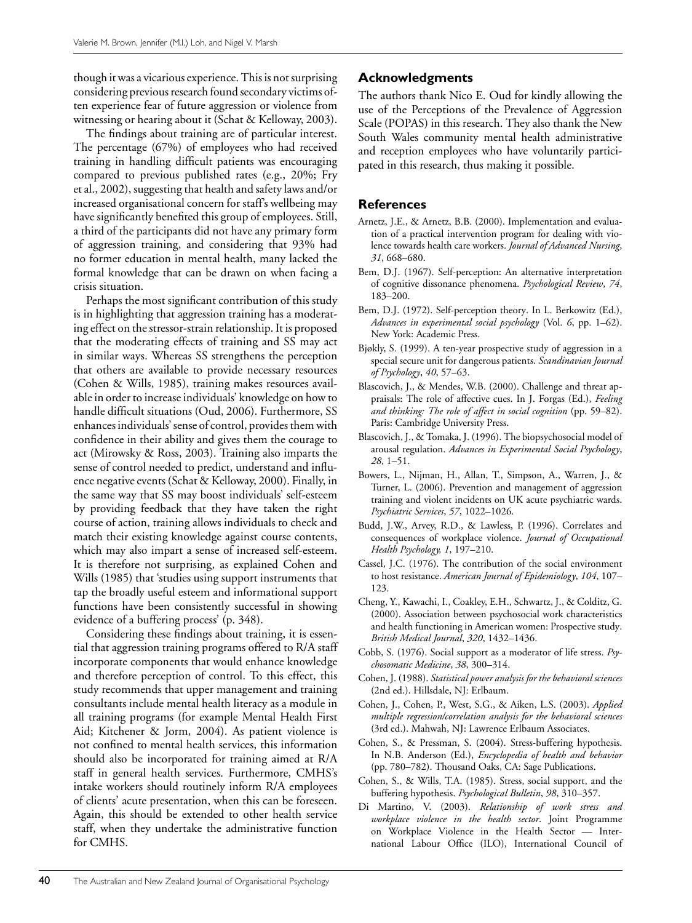though it was a vicarious experience. This is not surprising considering previous research found secondary victims often experience fear of future aggression or violence from witnessing or hearing about it (Schat & Kelloway, 2003).

The findings about training are of particular interest. The percentage (67%) of employees who had received training in handling difficult patients was encouraging compared to previous published rates (e.g., 20%; Fry et al., 2002), suggesting that health and safety laws and/or increased organisational concern for staff's wellbeing may have significantly benefited this group of employees. Still, a third of the participants did not have any primary form of aggression training, and considering that 93% had no former education in mental health, many lacked the formal knowledge that can be drawn on when facing a crisis situation.

Perhaps the most significant contribution of this study is in highlighting that aggression training has a moderating effect on the stressor-strain relationship. It is proposed that the moderating effects of training and SS may act in similar ways. Whereas SS strengthens the perception that others are available to provide necessary resources (Cohen & Wills, 1985), training makes resources available in order to increase individuals' knowledge on how to handle difficult situations (Oud, 2006). Furthermore, SS enhances individuals' sense of control, provides them with confidence in their ability and gives them the courage to act (Mirowsky & Ross, 2003). Training also imparts the sense of control needed to predict, understand and influence negative events (Schat & Kelloway, 2000). Finally, in the same way that SS may boost individuals' self-esteem by providing feedback that they have taken the right course of action, training allows individuals to check and match their existing knowledge against course contents, which may also impart a sense of increased self-esteem. It is therefore not surprising, as explained Cohen and Wills (1985) that 'studies using support instruments that tap the broadly useful esteem and informational support functions have been consistently successful in showing evidence of a buffering process' (p. 348).

Considering these findings about training, it is essential that aggression training programs offered to R/A staff incorporate components that would enhance knowledge and therefore perception of control. To this effect, this study recommends that upper management and training consultants include mental health literacy as a module in all training programs (for example Mental Health First Aid; Kitchener & Jorm, 2004). As patient violence is not confined to mental health services, this information should also be incorporated for training aimed at R/A staff in general health services. Furthermore, CMHS's intake workers should routinely inform R/A employees of clients' acute presentation, when this can be foreseen. Again, this should be extended to other health service staff, when they undertake the administrative function for CMHS.

## **Acknowledgments**

The authors thank Nico E. Oud for kindly allowing the use of the Perceptions of the Prevalence of Aggression Scale (POPAS) in this research. They also thank the New South Wales community mental health administrative and reception employees who have voluntarily participated in this research, thus making it possible.

#### **References**

- Arnetz, J.E., & Arnetz, B.B. (2000). Implementation and evaluation of a practical intervention program for dealing with violence towards health care workers. *Journal of Advanced Nursing*, *31*, 668–680.
- Bem, D.J. (1967). Self-perception: An alternative interpretation of cognitive dissonance phenomena. *Psychological Review*, *74*, 183–200.
- Bem, D.J. (1972). Self-perception theory. In L. Berkowitz (Ed.), *Advances in experimental social psychology* (Vol. *6*, pp. 1–62). New York: Academic Press.
- Bjøkly, S. (1999). A ten-year prospective study of aggression in a special secure unit for dangerous patients. *Scandinavian Journal of Psychology*, *40*, 57–63.
- Blascovich, J., & Mendes, W.B. (2000). Challenge and threat appraisals: The role of affective cues. In J. Forgas (Ed.), *Feeling and thinking: The role of affect in social cognition* (pp. 59–82). Paris: Cambridge University Press.
- Blascovich, J., & Tomaka, J. (1996). The biopsychosocial model of arousal regulation. *Advances in Experimental Social Psychology*, *28*, 1–51.
- Bowers, L., Nijman, H., Allan, T., Simpson, A., Warren, J., & Turner, L. (2006). Prevention and management of aggression training and violent incidents on UK acute psychiatric wards. *Psychiatric Services*, *57*, 1022–1026.
- Budd, J.W., Arvey, R.D., & Lawless, P. (1996). Correlates and consequences of workplace violence. *Journal of Occupational Health Psychology, 1*, 197–210.
- Cassel, J.C. (1976). The contribution of the social environment to host resistance. *American Journal of Epidemiology*, *104*, 107– 123.
- Cheng, Y., Kawachi, I., Coakley, E.H., Schwartz, J., & Colditz, G. (2000). Association between psychosocial work characteristics and health functioning in American women: Prospective study. *British Medical Journal*, *320*, 1432–1436.
- Cobb, S. (1976). Social support as a moderator of life stress. *Psychosomatic Medicine*, *38*, 300–314.
- Cohen, J. (1988). *Statistical power analysis for the behavioral sciences* (2nd ed.). Hillsdale, NJ: Erlbaum.
- Cohen, J., Cohen, P., West, S.G., & Aiken, L.S. (2003). *Applied multiple regression/correlation analysis for the behavioral sciences* (3rd ed.). Mahwah, NJ: Lawrence Erlbaum Associates.
- Cohen, S., & Pressman, S. (2004). Stress-buffering hypothesis. In N.B. Anderson (Ed.), *Encyclopedia of health and behavior* (pp. 780–782). Thousand Oaks, CA: Sage Publications.
- Cohen, S., & Wills, T.A. (1985). Stress, social support, and the buffering hypothesis. *Psychological Bulletin*, *98*, 310–357.
- Di Martino, V. (2003). *Relationship of work stress and workplace violence in the health sector*. Joint Programme on Workplace Violence in the Health Sector — International Labour Office (ILO), International Council of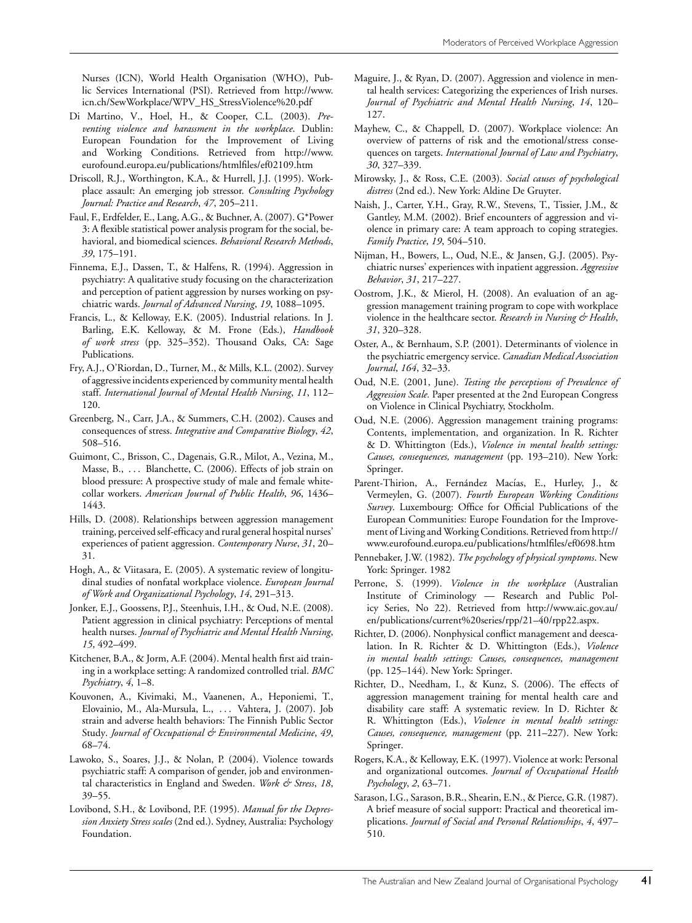Nurses (ICN), World Health Organisation (WHO), Public Services International (PSI). Retrieved from http://www. icn.ch/SewWorkplace/WPV\_HS\_StressViolence%20.pdf

- Di Martino, V., Hoel, H., & Cooper, C.L. (2003). *Preventing violence and harassment in the workplace*. Dublin: European Foundation for the Improvement of Living and Working Conditions. Retrieved from http://www. eurofound.europa.eu/publications/htmlfiles/ef02109.htm
- Driscoll, R.J., Worthington, K.A., & Hurrell, J.J. (1995). Workplace assault: An emerging job stressor. *Consulting Psychology Journal: Practice and Research*, *47*, 205–211.
- Faul, F., Erdfelder, E., Lang, A.G., & Buchner, A. (2007). G\*Power 3: A flexible statistical power analysis program for the social, behavioral, and biomedical sciences. *Behavioral Research Methods*, *39*, 175–191.
- Finnema, E.J., Dassen, T., & Halfens, R. (1994). Aggression in psychiatry: A qualitative study focusing on the characterization and perception of patient aggression by nurses working on psychiatric wards. *Journal of Advanced Nursing*, *19*, 1088–1095.
- Francis, L., & Kelloway, E.K. (2005). Industrial relations. In J. Barling, E.K. Kelloway, & M. Frone (Eds.), *Handbook of work stress* (pp. 325–352). Thousand Oaks, CA: Sage Publications.
- Fry, A.J., O'Riordan, D., Turner, M., & Mills, K.L. (2002). Survey of aggressive incidents experienced by community mental health staff. *International Journal of Mental Health Nursing*, *11*, 112– 120.
- Greenberg, N., Carr, J.A., & Summers, C.H. (2002). Causes and consequences of stress. *Integrative and Comparative Biology*, *42*, 508–516.
- Guimont, C., Brisson, C., Dagenais, G.R., Milot, A., Vezina, M., Masse, B., ... Blanchette, C. (2006). Effects of job strain on blood pressure: A prospective study of male and female whitecollar workers. *American Journal of Public Health*, *96*, 1436– 1443.
- Hills, D. (2008). Relationships between aggression management training, perceived self-efficacy and rural general hospital nurses' experiences of patient aggression. *Contemporary Nurse*, *31*, 20– 31.
- Hogh, A., & Viitasara, E. (2005). A systematic review of longitudinal studies of nonfatal workplace violence. *European Journal of Work and Organizational Psychology*, *14*, 291–313.
- Jonker, E.J., Goossens, P.J., Steenhuis, I.H., & Oud, N.E. (2008). Patient aggression in clinical psychiatry: Perceptions of mental health nurses. *Journal of Psychiatric and Mental Health Nursing*, *15*, 492–499.
- Kitchener, B.A., & Jorm, A.F. (2004). Mental health first aid training in a workplace setting: A randomized controlled trial. *BMC Psychiatry*, *4*, 1–8.
- Kouvonen, A., Kivimaki, M., Vaanenen, A., Heponiemi, T., Elovainio, M., Ala-Mursula, L., . . . Vahtera, J. (2007). Job strain and adverse health behaviors: The Finnish Public Sector Study. *Journal of Occupational & Environmental Medicine*, *49*, 68–74.
- Lawoko, S., Soares, J.J., & Nolan, P. (2004). Violence towards psychiatric staff: A comparison of gender, job and environmental characteristics in England and Sweden. *Work & Stress*, *18*, 39–55.
- Lovibond, S.H., & Lovibond, P.F. (1995). *Manual for the Depression Anxiety Stress scales* (2nd ed.). Sydney, Australia: Psychology Foundation.
- Maguire, J., & Ryan, D. (2007). Aggression and violence in mental health services: Categorizing the experiences of Irish nurses. *Journal of Psychiatric and Mental Health Nursing*, *14*, 120– 127.
- Mayhew, C., & Chappell, D. (2007). Workplace violence: An overview of patterns of risk and the emotional/stress consequences on targets. *International Journal of Law and Psychiatry*, *30*, 327–339.
- Mirowsky, J., & Ross, C.E. (2003). *Social causes of psychological distress* (2nd ed.). New York: Aldine De Gruyter.
- Naish, J., Carter, Y.H., Gray, R.W., Stevens, T., Tissier, J.M., & Gantley, M.M. (2002). Brief encounters of aggression and violence in primary care: A team approach to coping strategies. *Family Practice*, *19*, 504–510.
- Nijman, H., Bowers, L., Oud, N.E., & Jansen, G.J. (2005). Psychiatric nurses' experiences with inpatient aggression. *Aggressive Behavior*, *31*, 217–227.
- Oostrom, J.K., & Mierol, H. (2008). An evaluation of an aggression management training program to cope with workplace violence in the healthcare sector. *Research in Nursing & Health*, *31*, 320–328.
- Oster, A., & Bernhaum, S.P. (2001). Determinants of violence in the psychiatric emergency service. *Canadian Medical Association Journal*, *164*, 32–33.
- Oud, N.E. (2001, June). *Testing the perceptions of Prevalence of Aggression Scale.* Paper presented at the 2nd European Congress on Violence in Clinical Psychiatry, Stockholm.
- Oud, N.E. (2006). Aggression management training programs: Contents, implementation, and organization. In R. Richter & D. Whittington (Eds.), *Violence in mental health settings: Causes, consequences, management* (pp. 193–210). New York: Springer.
- Parent-Thirion, A., Fernández Macías, E., Hurley, J., & Vermeylen, G. (2007). *Fourth European Working Conditions Survey*. Luxembourg: Office for Official Publications of the European Communities: Europe Foundation for the Improvement of Living and Working Conditions. Retrieved from http:// www.eurofound.europa.eu/publications/htmlfiles/ef0698.htm
- Pennebaker, J.W. (1982). *The psychology of physical symptoms*. New York: Springer. 1982
- Perrone, S. (1999). *Violence in the workplace* (Australian Institute of Criminology — Research and Public Policy Series, No 22). Retrieved from http://www.aic.gov.au/ en/publications/current%20series/rpp/21–40/rpp22.aspx.
- Richter, D. (2006). Nonphysical conflict management and deescalation. In R. Richter & D. Whittington (Eds.), *Violence in mental health settings: Causes, consequences, management* (pp. 125–144). New York: Springer.
- Richter, D., Needham, I., & Kunz, S. (2006). The effects of aggression management training for mental health care and disability care staff: A systematic review. In D. Richter & R. Whittington (Eds.), *Violence in mental health settings: Causes, consequence, management* (pp. 211–227). New York: Springer.
- Rogers, K.A., & Kelloway, E.K. (1997). Violence at work: Personal and organizational outcomes. *Journal of Occupational Health Psychology*, *2*, 63–71.
- Sarason, I.G., Sarason, B.R., Shearin, E.N., & Pierce, G.R. (1987). A brief measure of social support: Practical and theoretical implications. *Journal of Social and Personal Relationships*, *4*, 497– 510.